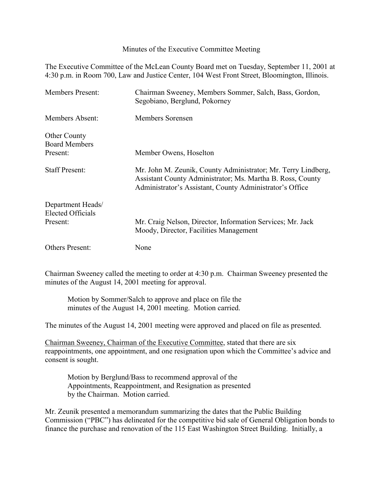Minutes of the Executive Committee Meeting

The Executive Committee of the McLean County Board met on Tuesday, September 11, 2001 at 4:30 p.m. in Room 700, Law and Justice Center, 104 West Front Street, Bloomington, Illinois.

| <b>Members Present:</b>                       | Chairman Sweeney, Members Sommer, Salch, Bass, Gordon,<br>Segobiano, Berglund, Pokorney                                                                                                 |
|-----------------------------------------------|-----------------------------------------------------------------------------------------------------------------------------------------------------------------------------------------|
| Members Absent:                               | Members Sorensen                                                                                                                                                                        |
| <b>Other County</b><br><b>Board Members</b>   |                                                                                                                                                                                         |
| Present:                                      | Member Owens, Hoselton                                                                                                                                                                  |
| <b>Staff Present:</b>                         | Mr. John M. Zeunik, County Administrator; Mr. Terry Lindberg,<br>Assistant County Administrator; Ms. Martha B. Ross, County<br>Administrator's Assistant, County Administrator's Office |
| Department Heads/<br><b>Elected Officials</b> |                                                                                                                                                                                         |
| Present:                                      | Mr. Craig Nelson, Director, Information Services; Mr. Jack<br>Moody, Director, Facilities Management                                                                                    |
| <b>Others Present:</b>                        | None                                                                                                                                                                                    |

Chairman Sweeney called the meeting to order at 4:30 p.m. Chairman Sweeney presented the minutes of the August 14, 2001 meeting for approval.

Motion by Sommer/Salch to approve and place on file the minutes of the August 14, 2001 meeting. Motion carried.

The minutes of the August 14, 2001 meeting were approved and placed on file as presented.

Chairman Sweeney, Chairman of the Executive Committee, stated that there are six reappointments, one appointment, and one resignation upon which the Committee's advice and consent is sought.

Motion by Berglund/Bass to recommend approval of the Appointments, Reappointment, and Resignation as presented by the Chairman. Motion carried.

Mr. Zeunik presented a memorandum summarizing the dates that the Public Building Commission ("PBC") has delineated for the competitive bid sale of General Obligation bonds to finance the purchase and renovation of the 115 East Washington Street Building. Initially, a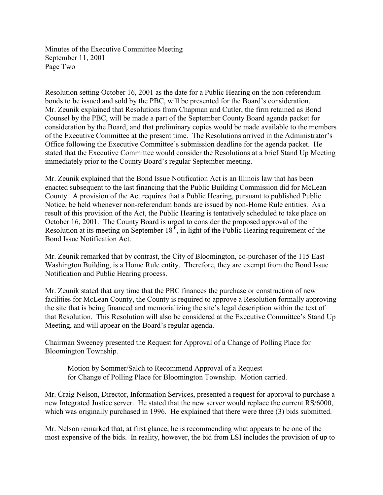Minutes of the Executive Committee Meeting September 11, 2001 Page Two

Resolution setting October 16, 2001 as the date for a Public Hearing on the non-referendum bonds to be issued and sold by the PBC, will be presented for the Board's consideration. Mr. Zeunik explained that Resolutions from Chapman and Cutler, the firm retained as Bond Counsel by the PBC, will be made a part of the September County Board agenda packet for consideration by the Board, and that preliminary copies would be made available to the members of the Executive Committee at the present time. The Resolutions arrived in the Administrator's Office following the Executive Committee's submission deadline for the agenda packet. He stated that the Executive Committee would consider the Resolutions at a brief Stand Up Meeting immediately prior to the County Board's regular September meeting.

Mr. Zeunik explained that the Bond Issue Notification Act is an Illinois law that has been enacted subsequent to the last financing that the Public Building Commission did for McLean County. A provision of the Act requires that a Public Hearing, pursuant to published Public Notice, be held whenever non-referendum bonds are issued by non-Home Rule entities. As a result of this provision of the Act, the Public Hearing is tentatively scheduled to take place on October 16, 2001. The County Board is urged to consider the proposed approval of the Resolution at its meeting on September  $18^{t}$ , in light of the Public Hearing requirement of the Bond Issue Notification Act.

Mr. Zeunik remarked that by contrast, the City of Bloomington, co-purchaser of the 115 East Washington Building, is a Home Rule entity. Therefore, they are exempt from the Bond Issue Notification and Public Hearing process.

Mr. Zeunik stated that any time that the PBC finances the purchase or construction of new facilities for McLean County, the County is required to approve a Resolution formally approving the site that is being financed and memorializing the site's legal description within the text of that Resolution. This Resolution will also be considered at the Executive Committee's Stand Up Meeting, and will appear on the Board's regular agenda.

Chairman Sweeney presented the Request for Approval of a Change of Polling Place for Bloomington Township.

Motion by Sommer/Salch to Recommend Approval of a Request for Change of Polling Place for Bloomington Township. Motion carried.

Mr. Craig Nelson, Director, Information Services, presented a request for approval to purchase a new Integrated Justice server. He stated that the new server would replace the current RS/6000, which was originally purchased in 1996. He explained that there were three  $(3)$  bids submitted.

Mr. Nelson remarked that, at first glance, he is recommending what appears to be one of the most expensive of the bids. In reality, however, the bid from LSI includes the provision of up to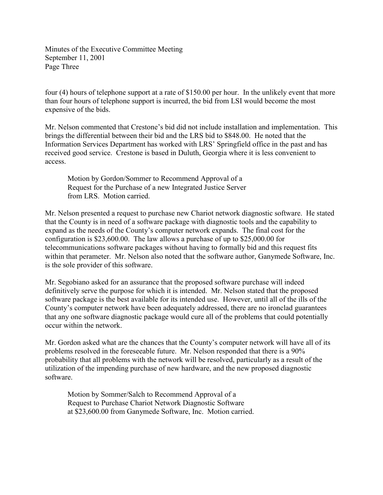Minutes of the Executive Committee Meeting September 11, 2001 Page Three

four (4) hours of telephone support at a rate of \$150.00 per hour. In the unlikely event that more than four hours of telephone support is incurred, the bid from LSI would become the most expensive of the bids.

Mr. Nelson commented that Crestone's bid did not include installation and implementation. This brings the differential between their bid and the LRS bid to \$848.00. He noted that the Information Services Department has worked with LRS' Springfield office in the past and has received good service. Crestone is based in Duluth, Georgia where it is less convenient to access.

Motion by Gordon/Sommer to Recommend Approval of a Request for the Purchase of a new Integrated Justice Server from LRS. Motion carried.

Mr. Nelson presented a request to purchase new Chariot network diagnostic software. He stated that the County is in need of a software package with diagnostic tools and the capability to expand as the needs of the County's computer network expands. The final cost for the configuration is \$23,600.00. The law allows a purchase of up to \$25,000.00 for telecommunications software packages without having to formally bid and this request fits within that perameter. Mr. Nelson also noted that the software author, Ganymede Software, Inc. is the sole provider of this software.

Mr. Segobiano asked for an assurance that the proposed software purchase will indeed definitively serve the purpose for which it is intended. Mr. Nelson stated that the proposed software package is the best available for its intended use. However, until all of the ills of the County's computer network have been adequately addressed, there are no ironclad guarantees that any one software diagnostic package would cure all of the problems that could potentially occur within the network.

Mr. Gordon asked what are the chances that the County's computer network will have all of its problems resolved in the foreseeable future. Mr. Nelson responded that there is a 90% probability that all problems with the network will be resolved, particularly as a result of the utilization of the impending purchase of new hardware, and the new proposed diagnostic software.

Motion by Sommer/Salch to Recommend Approval of a Request to Purchase Chariot Network Diagnostic Software at \$23,600.00 from Ganymede Software, Inc. Motion carried.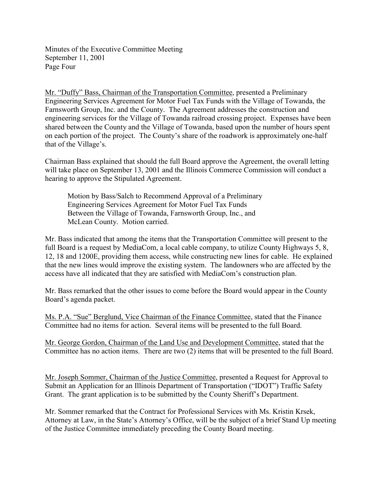Minutes of the Executive Committee Meeting September 11, 2001 Page Four

Mr. "Duffy" Bass, Chairman of the Transportation Committee, presented a Preliminary Engineering Services Agreement for Motor Fuel Tax Funds with the Village of Towanda, the Farnsworth Group, Inc. and the County. The Agreement addresses the construction and engineering services for the Village of Towanda railroad crossing project. Expenses have been shared between the County and the Village of Towanda, based upon the number of hours spent on each portion of the project. The County's share of the roadwork is approximately one-half that of the Village's.

Chairman Bass explained that should the full Board approve the Agreement, the overall letting will take place on September 13, 2001 and the Illinois Commerce Commission will conduct a hearing to approve the Stipulated Agreement.

Motion by Bass/Salch to Recommend Approval of a Preliminary Engineering Services Agreement for Motor Fuel Tax Funds Between the Village of Towanda, Farnsworth Group, Inc., and McLean County. Motion carried.

Mr. Bass indicated that among the items that the Transportation Committee will present to the full Board is a request by MediaCom, a local cable company, to utilize County Highways 5, 8, 12, 18 and 1200E, providing them access, while constructing new lines for cable. He explained that the new lines would improve the existing system. The landowners who are affected by the access have all indicated that they are satisfied with MediaCom's construction plan.

Mr. Bass remarked that the other issues to come before the Board would appear in the County Board's agenda packet.

Ms. P.A. "Sue" Berglund, Vice Chairman of the Finance Committee, stated that the Finance Committee had no items for action. Several items will be presented to the full Board.

Mr. George Gordon, Chairman of the Land Use and Development Committee, stated that the Committee has no action items. There are two (2) items that will be presented to the full Board.

Mr. Joseph Sommer, Chairman of the Justice Committee, presented a Request for Approval to Submit an Application for an Illinois Department of Transportation ("IDOT") Traffic Safety Grant. The grant application is to be submitted by the County Sheriff's Department.

Mr. Sommer remarked that the Contract for Professional Services with Ms. Kristin Krsek, Attorney at Law, in the State's Attorney's Office, will be the subject of a brief Stand Up meeting of the Justice Committee immediately preceding the County Board meeting.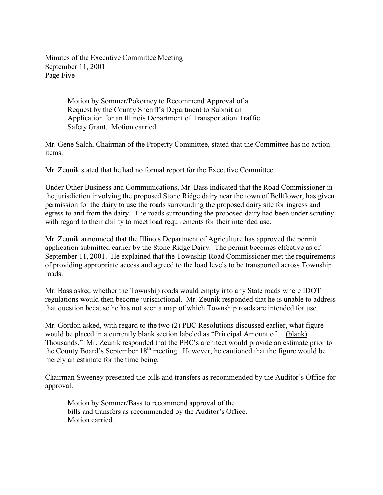Minutes of the Executive Committee Meeting September 11, 2001 Page Five

> Motion by Sommer/Pokorney to Recommend Approval of a Request by the County Sheriff's Department to Submit an Application for an Illinois Department of Transportation Traffic Safety Grant. Motion carried.

Mr. Gene Salch, Chairman of the Property Committee, stated that the Committee has no action items.

Mr. Zeunik stated that he had no formal report for the Executive Committee.

Under Other Business and Communications, Mr. Bass indicated that the Road Commissioner in the jurisdiction involving the proposed Stone Ridge dairy near the town of Bellflower, has given permission for the dairy to use the roads surrounding the proposed dairy site for ingress and egress to and from the dairy. The roads surrounding the proposed dairy had been under scrutiny with regard to their ability to meet load requirements for their intended use.

Mr. Zeunik announced that the Illinois Department of Agriculture has approved the permit application submitted earlier by the Stone Ridge Dairy. The permit becomes effective as of September 11, 2001. He explained that the Township Road Commissioner met the requirements of providing appropriate access and agreed to the load levels to be transported across Township roads.

Mr. Bass asked whether the Township roads would empty into any State roads where IDOT regulations would then become jurisdictional. Mr. Zeunik responded that he is unable to address that question because he has not seen a map of which Township roads are intended for use.

Mr. Gordon asked, with regard to the two (2) PBC Resolutions discussed earlier, what figure would be placed in a currently blank section labeled as "Principal Amount of (blank) Thousands." Mr. Zeunik responded that the PBC's architect would provide an estimate prior to the County Board's September 18<sup>th</sup> meeting. However, he cautioned that the figure would be merely an estimate for the time being.

Chairman Sweeney presented the bills and transfers as recommended by the Auditor's Office for approval.

Motion by Sommer/Bass to recommend approval of the bills and transfers as recommended by the Auditor's Office. Motion carried.